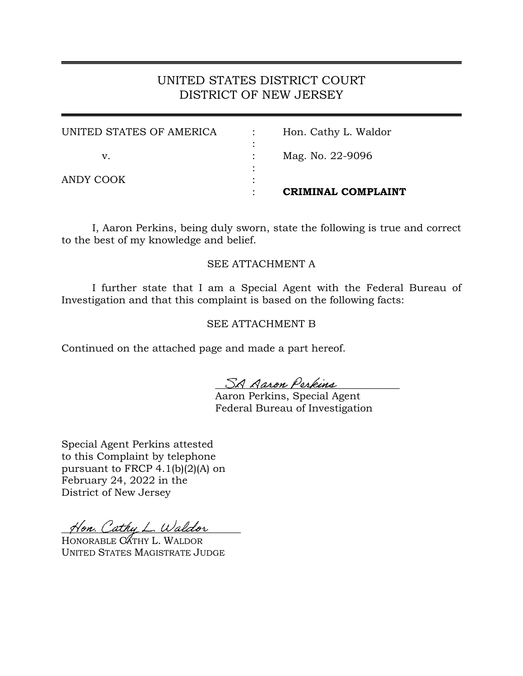# UNITED STATES DISTRICT COURT DISTRICT OF NEW JERSEY

|                          | CRIMINAL COMPLAINT   |
|--------------------------|----------------------|
| ANDY COOK                |                      |
| v.                       | Mag. No. 22-9096     |
| UNITED STATES OF AMERICA | Hon. Cathy L. Waldor |

I, Aaron Perkins, being duly sworn, state the following is true and correct to the best of my knowledge and belief.

### SEE ATTACHMENT A

I further state that I am a Special Agent with the Federal Bureau of Investigation and that this complaint is based on the following facts:

### SEE ATTACHMENT B

Continued on the attached page and made a part hereof.

SA Aaron Perkins

Aaron Perkins, Special Agent Federal Bureau of Investigation

Special Agent Perkins attested to this Complaint by telephone pursuant to FRCP 4.1(b)(2)(A) on February 24, 2022 in the District of New Jersey

Hon. Cathy L. Waldor

HONORABLE CATHY L. WALDOR UNITED STATES MAGISTRATE JUDGE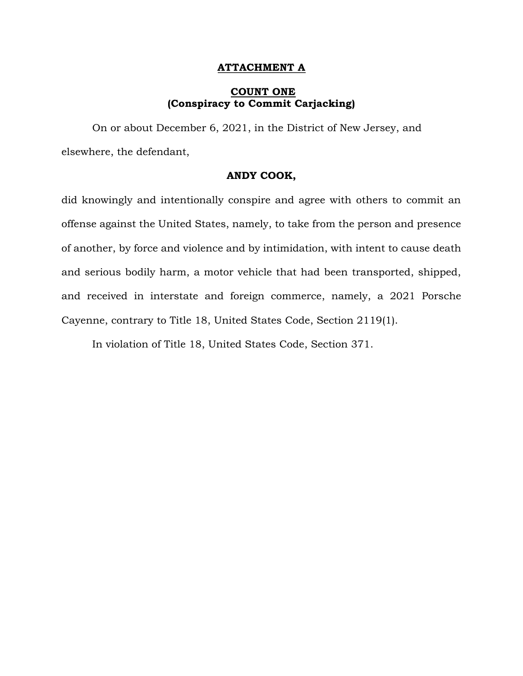#### **ATTACHMENT A**

#### **COUNT ONE (Conspiracy to Commit Carjacking)**

On or about December 6, 2021, in the District of New Jersey, and elsewhere, the defendant,

#### **ANDY COOK,**

did knowingly and intentionally conspire and agree with others to commit an offense against the United States, namely, to take from the person and presence of another, by force and violence and by intimidation, with intent to cause death and serious bodily harm, a motor vehicle that had been transported, shipped, and received in interstate and foreign commerce, namely, a 2021 Porsche Cayenne, contrary to Title 18, United States Code, Section 2119(1).

In violation of Title 18, United States Code, Section 371.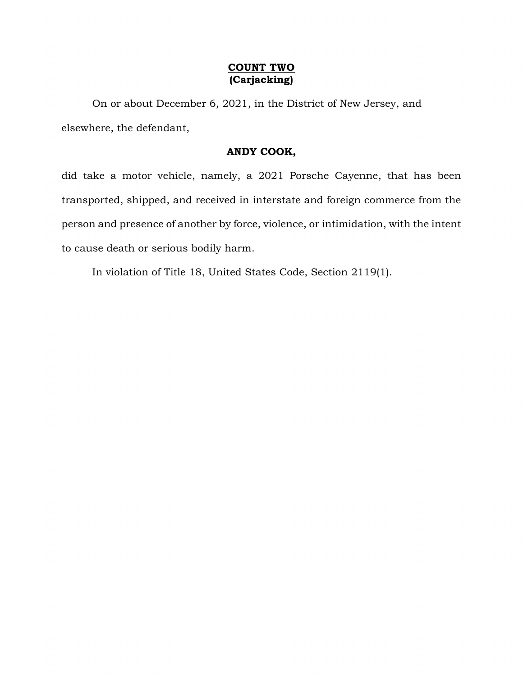# **COUNT TWO (Carjacking)**

On or about December 6, 2021, in the District of New Jersey, and elsewhere, the defendant,

### **ANDY COOK,**

did take a motor vehicle, namely, a 2021 Porsche Cayenne, that has been transported, shipped, and received in interstate and foreign commerce from the person and presence of another by force, violence, or intimidation, with the intent to cause death or serious bodily harm.

In violation of Title 18, United States Code, Section 2119(1).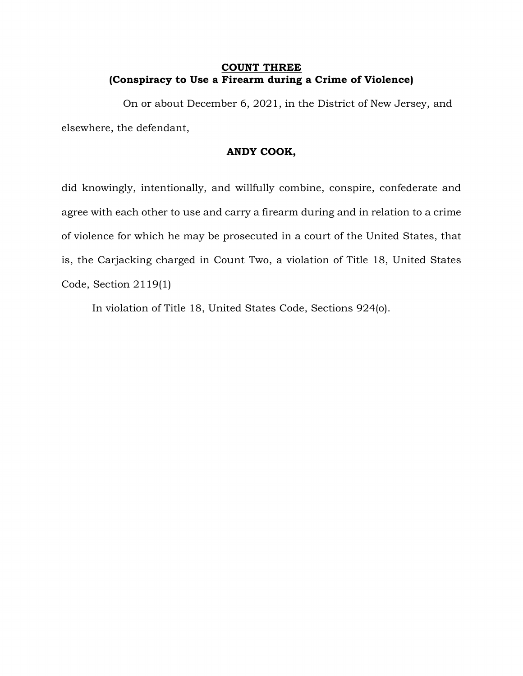# **COUNT THREE (Conspiracy to Use a Firearm during a Crime of Violence)**

On or about December 6, 2021, in the District of New Jersey, and elsewhere, the defendant,

### **ANDY COOK,**

did knowingly, intentionally, and willfully combine, conspire, confederate and agree with each other to use and carry a firearm during and in relation to a crime of violence for which he may be prosecuted in a court of the United States, that is, the Carjacking charged in Count Two, a violation of Title 18, United States Code, Section 2119(1)

In violation of Title 18, United States Code, Sections 924(o).